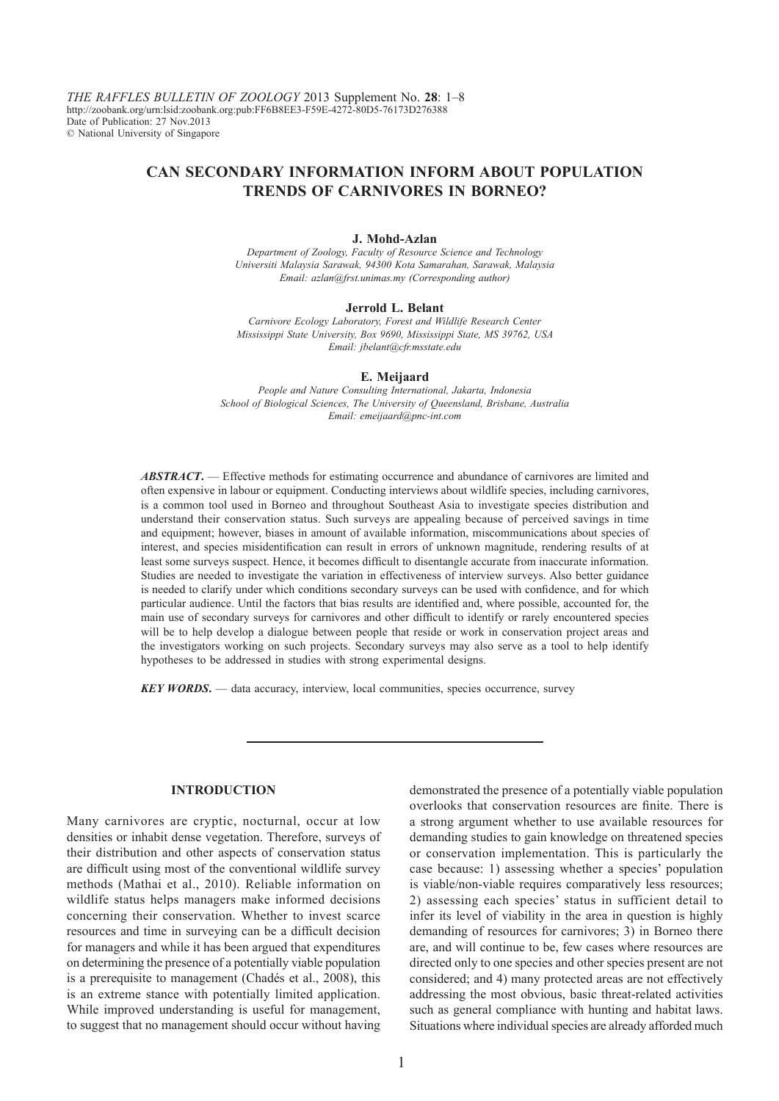*THE RAFFLES BULLETIN OF ZOOLOGY* 2013 Supplement No. **28**: 1–8 http://zoobank.org/urn:lsid:zoobank.org:pub:FF6B8EE3-F59E-4272-80D5-76173D276388 Date of Publication: 27 Nov.2013 © National University of Singapore

# **CAN SECONDARY INFORMATION INFORM ABOUT POPULATION TRENDS OF CARNIVORES IN BORNEO?**

### **J. Mohd-Azlan**

*Department of Zoology, Faculty of Resource Science and Technology Universiti Malaysia Sarawak, 94300 Kota Samarahan, Sarawak, Malaysia Email: azlan@frst.unimas.my (Corresponding author)*

#### **Jerrold L. Belant**

*Carnivore Ecology Laboratory, Forest and Wildlife Research Center Mississippi State University, Box 9690, Mississippi State, MS 39762, USA Email: jbelant@cfr.msstate.edu*

#### **E. Meijaard**

*People and Nature Consulting International, Jakarta, Indonesia School of Biological Sciences, The University of Queensland, Brisbane, Australia Email: emeijaard@pnc-int.com*

*ABSTRACT***.** — Effective methods for estimating occurrence and abundance of carnivores are limited and often expensive in labour or equipment. Conducting interviews about wildlife species, including carnivores, is a common tool used in Borneo and throughout Southeast Asia to investigate species distribution and understand their conservation status. Such surveys are appealing because of perceived savings in time and equipment; however, biases in amount of available information, miscommunications about species of interest, and species misidentification can result in errors of unknown magnitude, rendering results of at least some surveys suspect. Hence, it becomes difficult to disentangle accurate from inaccurate information. Studies are needed to investigate the variation in effectiveness of interview surveys. Also better guidance is needed to clarify under which conditions secondary surveys can be used with confidence, and for which particular audience. Until the factors that bias results are identified and, where possible, accounted for, the main use of secondary surveys for carnivores and other difficult to identify or rarely encountered species will be to help develop a dialogue between people that reside or work in conservation project areas and the investigators working on such projects. Secondary surveys may also serve as a tool to help identify hypotheses to be addressed in studies with strong experimental designs.

*KEY WORDS***.** — data accuracy, interview, local communities, species occurrence, survey

### **INTRODUCTION**

Many carnivores are cryptic, nocturnal, occur at low densities or inhabit dense vegetation. Therefore, surveys of their distribution and other aspects of conservation status are difficult using most of the conventional wildlife survey methods (Mathai et al., 2010). Reliable information on wildlife status helps managers make informed decisions concerning their conservation. Whether to invest scarce resources and time in surveying can be a difficult decision for managers and while it has been argued that expenditures on determining the presence of a potentially viable population is a prerequisite to management (Chadés et al., 2008), this is an extreme stance with potentially limited application. While improved understanding is useful for management, to suggest that no management should occur without having

demonstrated the presence of a potentially viable population overlooks that conservation resources are finite. There is a strong argument whether to use available resources for demanding studies to gain knowledge on threatened species or conservation implementation. This is particularly the case because: 1) assessing whether a species' population is viable/non-viable requires comparatively less resources; 2) assessing each species' status in sufficient detail to infer its level of viability in the area in question is highly demanding of resources for carnivores; 3) in Borneo there are, and will continue to be, few cases where resources are directed only to one species and other species present are not considered; and 4) many protected areas are not effectively addressing the most obvious, basic threat-related activities such as general compliance with hunting and habitat laws. Situations where individual species are already afforded much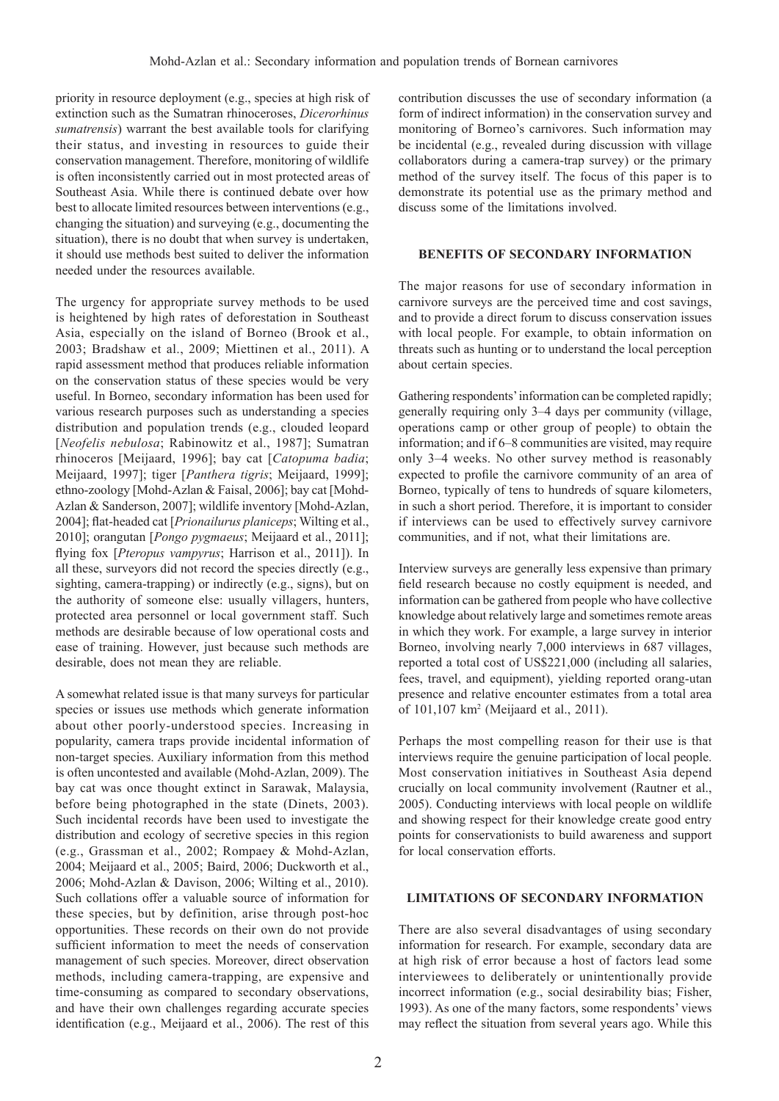priority in resource deployment (e.g., species at high risk of extinction such as the Sumatran rhinoceroses, *Dicerorhinus sumatrensis*) warrant the best available tools for clarifying their status, and investing in resources to guide their conservation management. Therefore, monitoring of wildlife is often inconsistently carried out in most protected areas of Southeast Asia. While there is continued debate over how best to allocate limited resources between interventions (e.g., changing the situation) and surveying (e.g., documenting the situation), there is no doubt that when survey is undertaken, it should use methods best suited to deliver the information needed under the resources available.

The urgency for appropriate survey methods to be used is heightened by high rates of deforestation in Southeast Asia, especially on the island of Borneo (Brook et al., 2003; Bradshaw et al., 2009; Miettinen et al., 2011). A rapid assessment method that produces reliable information on the conservation status of these species would be very useful. In Borneo, secondary information has been used for various research purposes such as understanding a species distribution and population trends (e.g., clouded leopard [*Neofelis nebulosa*; Rabinowitz et al., 1987]; Sumatran rhinoceros [Meijaard, 1996]; bay cat [*Catopuma badia*; Meijaard, 1997]; tiger [*Panthera tigris*; Meijaard, 1999]; ethno-zoology [Mohd-Azlan & Faisal, 2006]; bay cat [Mohd-Azlan & Sanderson, 2007]; wildlife inventory [Mohd-Azlan, 2004]; flat-headed cat [*Prionailurus planiceps*; Wilting et al., 2010]; orangutan [*Pongo pygmaeus*; Meijaard et al., 2011]; flying fox [*Pteropus vampyrus*; Harrison et al., 2011]). In all these, surveyors did not record the species directly (e.g., sighting, camera-trapping) or indirectly (e.g., signs), but on the authority of someone else: usually villagers, hunters, protected area personnel or local government staff. Such methods are desirable because of low operational costs and ease of training. However, just because such methods are desirable, does not mean they are reliable.

A somewhat related issue is that many surveys for particular species or issues use methods which generate information about other poorly-understood species. Increasing in popularity, camera traps provide incidental information of non-target species. Auxiliary information from this method is often uncontested and available (Mohd-Azlan, 2009). The bay cat was once thought extinct in Sarawak, Malaysia, before being photographed in the state (Dinets, 2003). Such incidental records have been used to investigate the distribution and ecology of secretive species in this region (e.g., Grassman et al., 2002; Rompaey & Mohd-Azlan, 2004; Meijaard et al., 2005; Baird, 2006; Duckworth et al., 2006; Mohd-Azlan & Davison, 2006; Wilting et al., 2010). Such collations offer a valuable source of information for these species, but by definition, arise through post-hoc opportunities. These records on their own do not provide sufficient information to meet the needs of conservation management of such species. Moreover, direct observation methods, including camera-trapping, are expensive and time-consuming as compared to secondary observations, and have their own challenges regarding accurate species identification (e.g., Meijaard et al., 2006). The rest of this contribution discusses the use of secondary information (a form of indirect information) in the conservation survey and monitoring of Borneo's carnivores. Such information may be incidental (e.g., revealed during discussion with village collaborators during a camera-trap survey) or the primary method of the survey itself. The focus of this paper is to demonstrate its potential use as the primary method and discuss some of the limitations involved.

### **BENEFITS OF SECONDARY INFORMATION**

The major reasons for use of secondary information in carnivore surveys are the perceived time and cost savings, and to provide a direct forum to discuss conservation issues with local people. For example, to obtain information on threats such as hunting or to understand the local perception about certain species.

Gathering respondents' information can be completed rapidly; generally requiring only 3–4 days per community (village, operations camp or other group of people) to obtain the information; and if 6–8 communities are visited, may require only 3–4 weeks. No other survey method is reasonably expected to profile the carnivore community of an area of Borneo, typically of tens to hundreds of square kilometers, in such a short period. Therefore, it is important to consider if interviews can be used to effectively survey carnivore communities, and if not, what their limitations are.

Interview surveys are generally less expensive than primary field research because no costly equipment is needed, and information can be gathered from people who have collective knowledge about relatively large and sometimes remote areas in which they work. For example, a large survey in interior Borneo, involving nearly 7,000 interviews in 687 villages, reported a total cost of US\$221,000 (including all salaries, fees, travel, and equipment), yielding reported orang-utan presence and relative encounter estimates from a total area of 101,107 km2 (Meijaard et al., 2011).

Perhaps the most compelling reason for their use is that interviews require the genuine participation of local people. Most conservation initiatives in Southeast Asia depend crucially on local community involvement (Rautner et al., 2005). Conducting interviews with local people on wildlife and showing respect for their knowledge create good entry points for conservationists to build awareness and support for local conservation efforts.

#### **LIMITATIONS OF SECONDARY INFORMATION**

There are also several disadvantages of using secondary information for research. For example, secondary data are at high risk of error because a host of factors lead some interviewees to deliberately or unintentionally provide incorrect information (e.g., social desirability bias; Fisher, 1993). As one of the many factors, some respondents' views may reflect the situation from several years ago. While this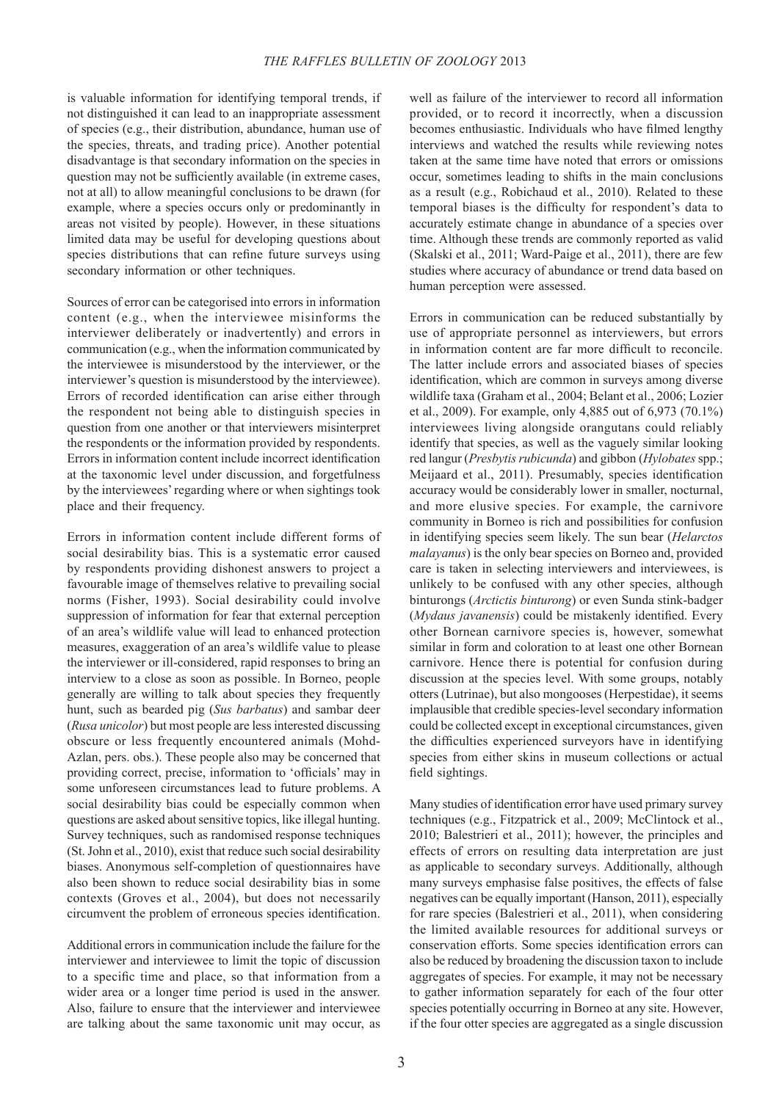is valuable information for identifying temporal trends, if not distinguished it can lead to an inappropriate assessment of species (e.g., their distribution, abundance, human use of the species, threats, and trading price). Another potential disadvantage is that secondary information on the species in question may not be sufficiently available (in extreme cases, not at all) to allow meaningful conclusions to be drawn (for example, where a species occurs only or predominantly in areas not visited by people). However, in these situations limited data may be useful for developing questions about species distributions that can refine future surveys using secondary information or other techniques.

Sources of error can be categorised into errors in information content (e.g., when the interviewee misinforms the interviewer deliberately or inadvertently) and errors in communication (e.g., when the information communicated by the interviewee is misunderstood by the interviewer, or the interviewer's question is misunderstood by the interviewee). Errors of recorded identification can arise either through the respondent not being able to distinguish species in question from one another or that interviewers misinterpret the respondents or the information provided by respondents. Errors in information content include incorrect identification at the taxonomic level under discussion, and forgetfulness by the interviewees' regarding where or when sightings took place and their frequency.

Errors in information content include different forms of social desirability bias. This is a systematic error caused by respondents providing dishonest answers to project a favourable image of themselves relative to prevailing social norms (Fisher, 1993). Social desirability could involve suppression of information for fear that external perception of an area's wildlife value will lead to enhanced protection measures, exaggeration of an area's wildlife value to please the interviewer or ill-considered, rapid responses to bring an interview to a close as soon as possible. In Borneo, people generally are willing to talk about species they frequently hunt, such as bearded pig (*Sus barbatus*) and sambar deer (*Rusa unicolor*) but most people are less interested discussing obscure or less frequently encountered animals (Mohd-Azlan, pers. obs.). These people also may be concerned that providing correct, precise, information to 'officials' may in some unforeseen circumstances lead to future problems. A social desirability bias could be especially common when questions are asked about sensitive topics, like illegal hunting. Survey techniques, such as randomised response techniques (St. John et al., 2010), exist that reduce such social desirability biases. Anonymous self-completion of questionnaires have also been shown to reduce social desirability bias in some contexts (Groves et al., 2004), but does not necessarily circumvent the problem of erroneous species identification.

Additional errors in communication include the failure for the interviewer and interviewee to limit the topic of discussion to a specific time and place, so that information from a wider area or a longer time period is used in the answer. Also, failure to ensure that the interviewer and interviewee are talking about the same taxonomic unit may occur, as well as failure of the interviewer to record all information provided, or to record it incorrectly, when a discussion becomes enthusiastic. Individuals who have filmed lengthy interviews and watched the results while reviewing notes taken at the same time have noted that errors or omissions occur, sometimes leading to shifts in the main conclusions as a result (e.g., Robichaud et al., 2010). Related to these temporal biases is the difficulty for respondent's data to accurately estimate change in abundance of a species over time. Although these trends are commonly reported as valid (Skalski et al., 2011; Ward-Paige et al., 2011), there are few studies where accuracy of abundance or trend data based on human perception were assessed.

Errors in communication can be reduced substantially by use of appropriate personnel as interviewers, but errors in information content are far more difficult to reconcile. The latter include errors and associated biases of species identification, which are common in surveys among diverse wildlife taxa (Graham et al., 2004; Belant et al., 2006; Lozier et al., 2009). For example, only 4,885 out of 6,973 (70.1%) interviewees living alongside orangutans could reliably identify that species, as well as the vaguely similar looking red langur (*Presbytis rubicunda*) and gibbon (*Hylobates* spp.; Meijaard et al., 2011). Presumably, species identification accuracy would be considerably lower in smaller, nocturnal, and more elusive species. For example, the carnivore community in Borneo is rich and possibilities for confusion in identifying species seem likely. The sun bear (*Helarctos malayanus*) is the only bear species on Borneo and, provided care is taken in selecting interviewers and interviewees, is unlikely to be confused with any other species, although binturongs (*Arctictis binturong*) or even Sunda stink-badger (*Mydaus javanensis*) could be mistakenly identified. Every other Bornean carnivore species is, however, somewhat similar in form and coloration to at least one other Bornean carnivore. Hence there is potential for confusion during discussion at the species level. With some groups, notably otters (Lutrinae), but also mongooses (Herpestidae), it seems implausible that credible species-level secondary information could be collected except in exceptional circumstances, given the difficulties experienced surveyors have in identifying species from either skins in museum collections or actual field sightings.

Many studies of identification error have used primary survey techniques (e.g., Fitzpatrick et al., 2009; McClintock et al., 2010; Balestrieri et al., 2011); however, the principles and effects of errors on resulting data interpretation are just as applicable to secondary surveys. Additionally, although many surveys emphasise false positives, the effects of false negatives can be equally important (Hanson, 2011), especially for rare species (Balestrieri et al., 2011), when considering the limited available resources for additional surveys or conservation efforts. Some species identification errors can also be reduced by broadening the discussion taxon to include aggregates of species. For example, it may not be necessary to gather information separately for each of the four otter species potentially occurring in Borneo at any site. However, if the four otter species are aggregated as a single discussion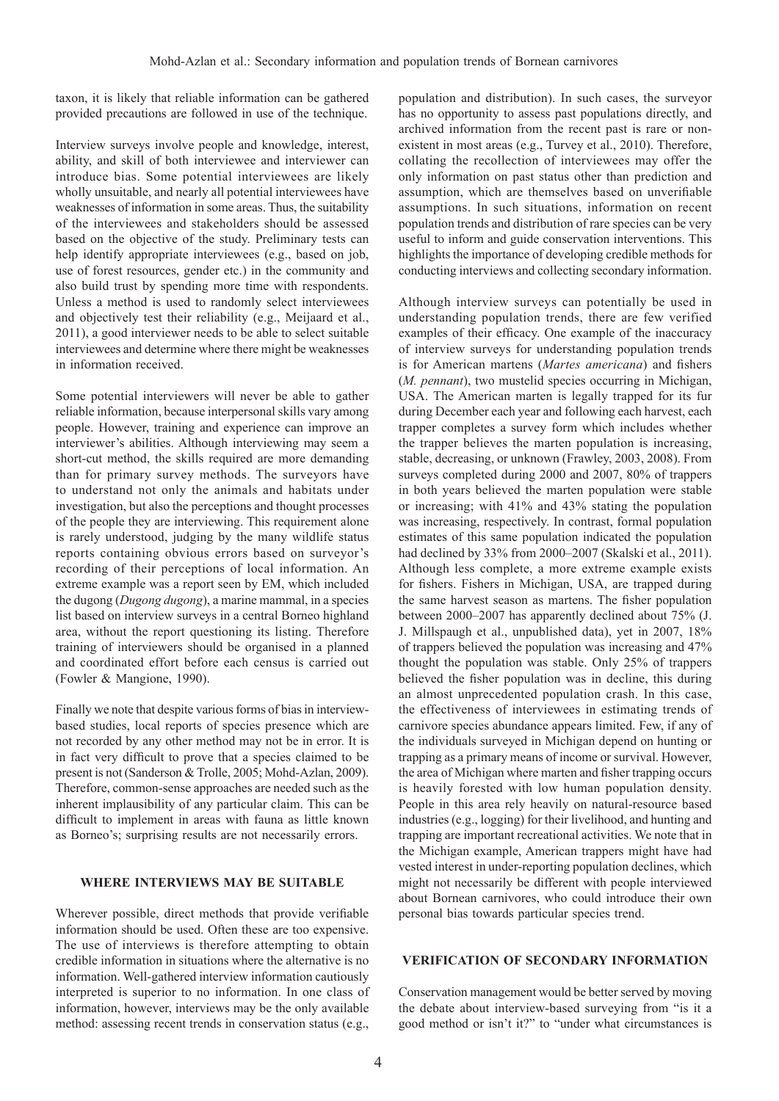taxon, it is likely that reliable information can be gathered provided precautions are followed in use of the technique.

Interview surveys involve people and knowledge, interest, ability, and skill of both interviewee and interviewer can introduce bias. Some potential interviewees are likely wholly unsuitable, and nearly all potential interviewees have weaknesses of information in some areas. Thus, the suitability of the interviewees and stakeholders should be assessed based on the objective of the study. Preliminary tests can help identify appropriate interviewees (e.g., based on job, use of forest resources, gender etc.) in the community and also build trust by spending more time with respondents. Unless a method is used to randomly select interviewees and objectively test their reliability (e.g., Meijaard et al., 2011), a good interviewer needs to be able to select suitable interviewees and determine where there might be weaknesses in information received.

Some potential interviewers will never be able to gather reliable information, because interpersonal skills vary among people. However, training and experience can improve an interviewer's abilities. Although interviewing may seem a short-cut method, the skills required are more demanding than for primary survey methods. The surveyors have to understand not only the animals and habitats under investigation, but also the perceptions and thought processes of the people they are interviewing. This requirement alone is rarely understood, judging by the many wildlife status reports containing obvious errors based on surveyor's recording of their perceptions of local information. An extreme example was a report seen by EM, which included the dugong (*Dugong dugong*), a marine mammal, in a species list based on interview surveys in a central Borneo highland area, without the report questioning its listing. Therefore training of interviewers should be organised in a planned and coordinated effort before each census is carried out (Fowler & Mangione, 1990).

Finally we note that despite various forms of bias in interviewbased studies, local reports of species presence which are not recorded by any other method may not be in error. It is in fact very difficult to prove that a species claimed to be present is not (Sanderson & Trolle, 2005; Mohd-Azlan, 2009). Therefore, common-sense approaches are needed such as the inherent implausibility of any particular claim. This can be difficult to implement in areas with fauna as little known as Borneo's; surprising results are not necessarily errors.

#### **WHERE INTERVIEWS MAY BE SUITABLE**

Wherever possible, direct methods that provide verifiable information should be used. Often these are too expensive. The use of interviews is therefore attempting to obtain credible information in situations where the alternative is no information. Well-gathered interview information cautiously interpreted is superior to no information. In one class of information, however, interviews may be the only available method: assessing recent trends in conservation status (e.g.,

population and distribution). In such cases, the surveyor has no opportunity to assess past populations directly, and archived information from the recent past is rare or nonexistent in most areas (e.g., Turvey et al., 2010). Therefore, collating the recollection of interviewees may offer the only information on past status other than prediction and assumption, which are themselves based on unverifiable assumptions. In such situations, information on recent population trends and distribution of rare species can be very useful to inform and guide conservation interventions. This highlights the importance of developing credible methods for conducting interviews and collecting secondary information.

Although interview surveys can potentially be used in understanding population trends, there are few verified examples of their efficacy. One example of the inaccuracy of interview surveys for understanding population trends is for American martens (*Martes americana*) and fishers (*M. pennant*), two mustelid species occurring in Michigan, USA. The American marten is legally trapped for its fur during December each year and following each harvest, each trapper completes a survey form which includes whether the trapper believes the marten population is increasing, stable, decreasing, or unknown (Frawley, 2003, 2008). From surveys completed during 2000 and 2007, 80% of trappers in both years believed the marten population were stable or increasing; with 41% and 43% stating the population was increasing, respectively. In contrast, formal population estimates of this same population indicated the population had declined by 33% from 2000–2007 (Skalski et al., 2011). Although less complete, a more extreme example exists for fishers. Fishers in Michigan, USA, are trapped during the same harvest season as martens. The fisher population between 2000–2007 has apparently declined about 75% (J. J. Millspaugh et al., unpublished data), yet in 2007, 18% of trappers believed the population was increasing and 47% thought the population was stable. Only 25% of trappers believed the fisher population was in decline, this during an almost unprecedented population crash. In this case, the effectiveness of interviewees in estimating trends of carnivore species abundance appears limited. Few, if any of the individuals surveyed in Michigan depend on hunting or trapping as a primary means of income or survival. However, the area of Michigan where marten and fisher trapping occurs is heavily forested with low human population density. People in this area rely heavily on natural-resource based industries (e.g., logging) for their livelihood, and hunting and trapping are important recreational activities. We note that in the Michigan example, American trappers might have had vested interest in under-reporting population declines, which might not necessarily be different with people interviewed about Bornean carnivores, who could introduce their own personal bias towards particular species trend.

### **VERIFICATION OF SECONDARY INFORMATION**

Conservation management would be better served by moving the debate about interview-based surveying from "is it a good method or isn't it?" to "under what circumstances is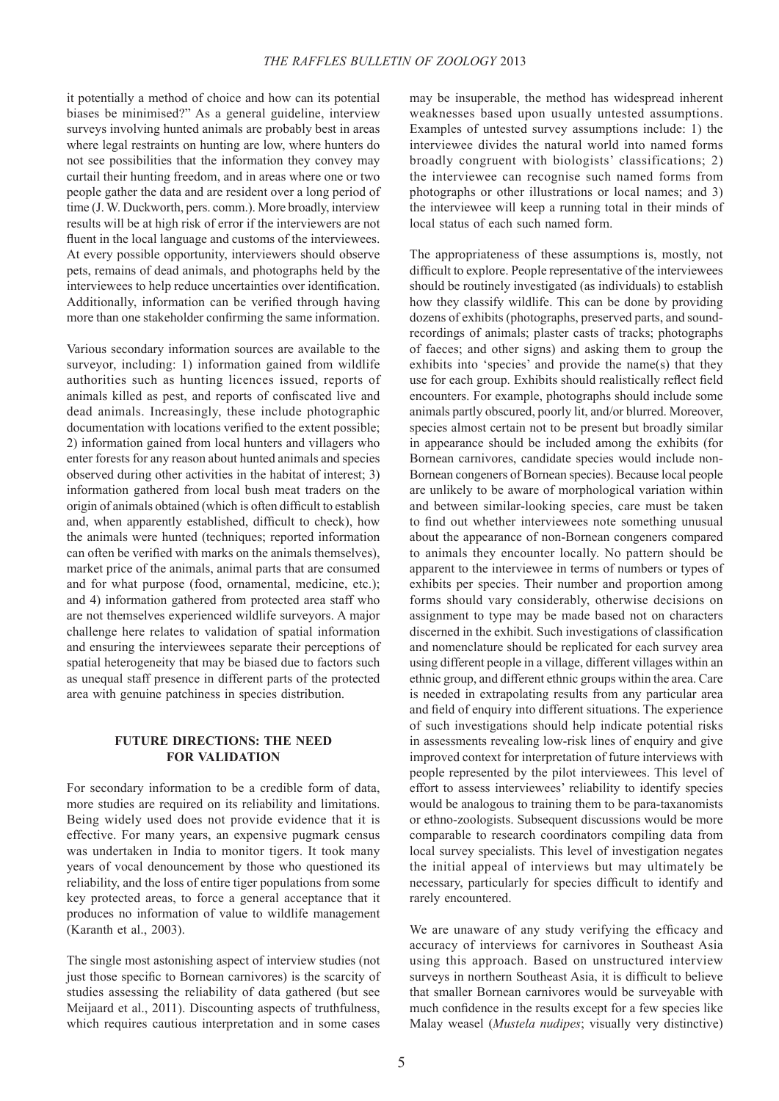it potentially a method of choice and how can its potential biases be minimised?" As a general guideline, interview surveys involving hunted animals are probably best in areas where legal restraints on hunting are low, where hunters do not see possibilities that the information they convey may curtail their hunting freedom, and in areas where one or two people gather the data and are resident over a long period of time (J. W. Duckworth, pers. comm.). More broadly, interview results will be at high risk of error if the interviewers are not fluent in the local language and customs of the interviewees. At every possible opportunity, interviewers should observe pets, remains of dead animals, and photographs held by the interviewees to help reduce uncertainties over identification. Additionally, information can be verified through having more than one stakeholder confirming the same information.

 Various secondary information sources are available to the surveyor, including: 1) information gained from wildlife authorities such as hunting licences issued, reports of animals killed as pest, and reports of confiscated live and dead animals. Increasingly, these include photographic documentation with locations verified to the extent possible; 2) information gained from local hunters and villagers who enter forests for any reason about hunted animals and species observed during other activities in the habitat of interest; 3) information gathered from local bush meat traders on the origin of animals obtained (which is often difficult to establish and, when apparently established, difficult to check), how the animals were hunted (techniques; reported information can often be verified with marks on the animals themselves). market price of the animals, animal parts that are consumed and for what purpose (food, ornamental, medicine, etc.); and 4) information gathered from protected area staff who are not themselves experienced wildlife surveyors. A major challenge here relates to validation of spatial information and ensuring the interviewees separate their perceptions of spatial heterogeneity that may be biased due to factors such as unequal staff presence in different parts of the protected area with genuine patchiness in species distribution.

# **FUTURE DIRECTIONS: THE NEED FOR VALIDATION**

For secondary information to be a credible form of data, more studies are required on its reliability and limitations. Being widely used does not provide evidence that it is effective. For many years, an expensive pugmark census was undertaken in India to monitor tigers. It took many years of vocal denouncement by those who questioned its reliability, and the loss of entire tiger populations from some key protected areas, to force a general acceptance that it produces no information of value to wildlife management (Karanth et al., 2003).

The single most astonishing aspect of interview studies (not just those specific to Bornean carnivores) is the scarcity of studies assessing the reliability of data gathered (but see Meijaard et al., 2011). Discounting aspects of truthfulness, which requires cautious interpretation and in some cases

may be insuperable, the method has widespread inherent weaknesses based upon usually untested assumptions. Examples of untested survey assumptions include: 1) the interviewee divides the natural world into named forms broadly congruent with biologists' classifications; 2) the interviewee can recognise such named forms from photographs or other illustrations or local names; and 3) the interviewee will keep a running total in their minds of local status of each such named form.

The appropriateness of these assumptions is, mostly, not difficult to explore. People representative of the interviewees should be routinely investigated (as individuals) to establish how they classify wildlife. This can be done by providing dozens of exhibits (photographs, preserved parts, and soundrecordings of animals; plaster casts of tracks; photographs of faeces; and other signs) and asking them to group the exhibits into 'species' and provide the name(s) that they use for each group. Exhibits should realistically reflect field encounters. For example, photographs should include some animals partly obscured, poorly lit, and/or blurred. Moreover, species almost certain not to be present but broadly similar in appearance should be included among the exhibits (for Bornean carnivores, candidate species would include non-Bornean congeners of Bornean species). Because local people are unlikely to be aware of morphological variation within and between similar-looking species, care must be taken to find out whether interviewees note something unusual about the appearance of non-Bornean congeners compared to animals they encounter locally. No pattern should be apparent to the interviewee in terms of numbers or types of exhibits per species. Their number and proportion among forms should vary considerably, otherwise decisions on assignment to type may be made based not on characters discerned in the exhibit. Such investigations of classification and nomenclature should be replicated for each survey area using different people in a village, different villages within an ethnic group, and different ethnic groups within the area. Care is needed in extrapolating results from any particular area and field of enquiry into different situations. The experience of such investigations should help indicate potential risks in assessments revealing low-risk lines of enquiry and give improved context for interpretation of future interviews with people represented by the pilot interviewees. This level of effort to assess interviewees' reliability to identify species would be analogous to training them to be para-taxanomists or ethno-zoologists. Subsequent discussions would be more comparable to research coordinators compiling data from local survey specialists. This level of investigation negates the initial appeal of interviews but may ultimately be necessary, particularly for species difficult to identify and rarely encountered.

We are unaware of any study verifying the efficacy and accuracy of interviews for carnivores in Southeast Asia using this approach. Based on unstructured interview surveys in northern Southeast Asia, it is difficult to believe that smaller Bornean carnivores would be surveyable with much confidence in the results except for a few species like Malay weasel (*Mustela nudipes*; visually very distinctive)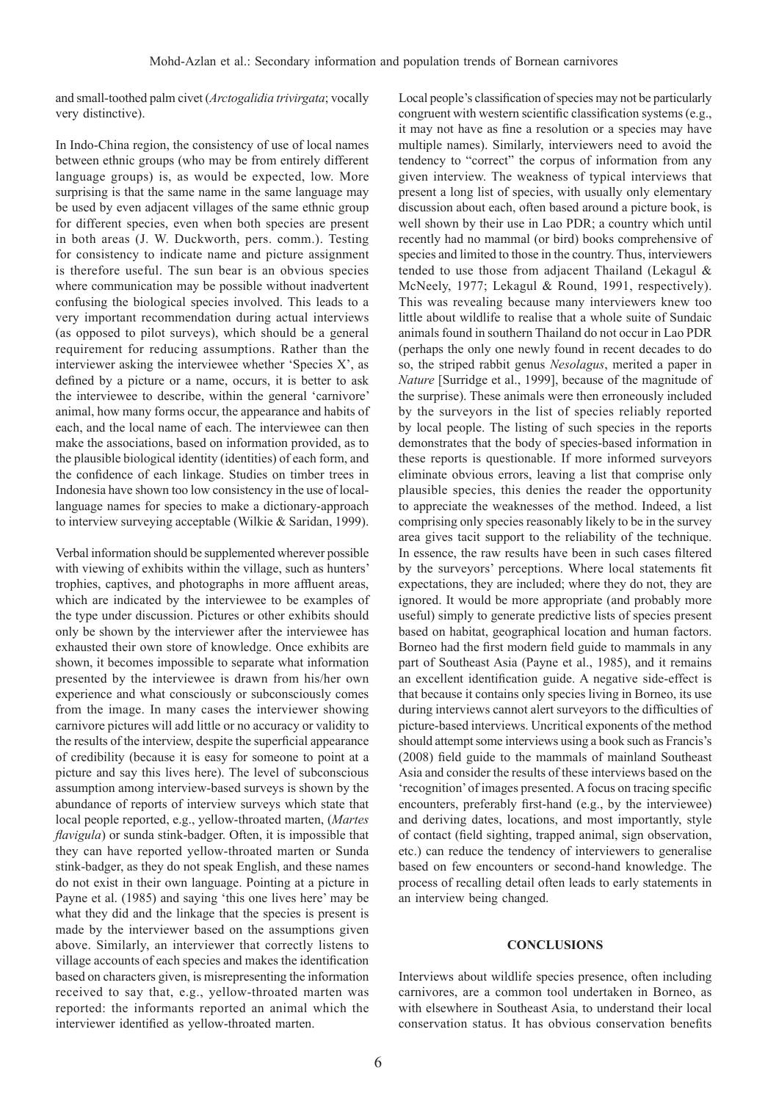and small-toothed palm civet (*Arctogalidia trivirgata*; vocally very distinctive).

In Indo-China region, the consistency of use of local names between ethnic groups (who may be from entirely different language groups) is, as would be expected, low. More surprising is that the same name in the same language may be used by even adjacent villages of the same ethnic group for different species, even when both species are present in both areas (J. W. Duckworth, pers. comm.). Testing for consistency to indicate name and picture assignment is therefore useful. The sun bear is an obvious species where communication may be possible without inadvertent confusing the biological species involved. This leads to a very important recommendation during actual interviews (as opposed to pilot surveys), which should be a general requirement for reducing assumptions. Rather than the interviewer asking the interviewee whether 'Species  $X$ ', as defined by a picture or a name, occurs, it is better to ask the interviewee to describe, within the general 'carnivore' animal, how many forms occur, the appearance and habits of each, and the local name of each. The interviewee can then make the associations, based on information provided, as to the plausible biological identity (identities) of each form, and the confidence of each linkage. Studies on timber trees in Indonesia have shown too low consistency in the use of locallanguage names for species to make a dictionary-approach to interview surveying acceptable (Wilkie & Saridan, 1999).

Verbal information should be supplemented wherever possible with viewing of exhibits within the village, such as hunters' trophies, captives, and photographs in more affluent areas, which are indicated by the interviewee to be examples of the type under discussion. Pictures or other exhibits should only be shown by the interviewer after the interviewee has exhausted their own store of knowledge. Once exhibits are shown, it becomes impossible to separate what information presented by the interviewee is drawn from his/her own experience and what consciously or subconsciously comes from the image. In many cases the interviewer showing carnivore pictures will add little or no accuracy or validity to the results of the interview, despite the superficial appearance of credibility (because it is easy for someone to point at a picture and say this lives here). The level of subconscious assumption among interview-based surveys is shown by the abundance of reports of interview surveys which state that local people reported, e.g., yellow-throated marten, (*Martes flavigula*) or sunda stink-badger. Often, it is impossible that they can have reported yellow-throated marten or Sunda stink-badger, as they do not speak English, and these names do not exist in their own language. Pointing at a picture in Payne et al. (1985) and saying 'this one lives here' may be what they did and the linkage that the species is present is made by the interviewer based on the assumptions given above. Similarly, an interviewer that correctly listens to village accounts of each species and makes the identification based on characters given, is misrepresenting the information received to say that, e.g., yellow-throated marten was reported: the informants reported an animal which the interviewer identified as yellow-throated marten.

Local people's classification of species may not be particularly congruent with western scientific classification systems (e.g., it may not have as fine a resolution or a species may have multiple names). Similarly, interviewers need to avoid the tendency to "correct" the corpus of information from any given interview. The weakness of typical interviews that present a long list of species, with usually only elementary discussion about each, often based around a picture book, is well shown by their use in Lao PDR; a country which until recently had no mammal (or bird) books comprehensive of species and limited to those in the country. Thus, interviewers tended to use those from adjacent Thailand (Lekagul & McNeely, 1977; Lekagul & Round, 1991, respectively). This was revealing because many interviewers knew too little about wildlife to realise that a whole suite of Sundaic animals found in southern Thailand do not occur in Lao PDR (perhaps the only one newly found in recent decades to do so, the striped rabbit genus *Nesolagus*, merited a paper in *Nature* [Surridge et al., 1999], because of the magnitude of the surprise). These animals were then erroneously included by the surveyors in the list of species reliably reported by local people. The listing of such species in the reports demonstrates that the body of species-based information in these reports is questionable. If more informed surveyors eliminate obvious errors, leaving a list that comprise only plausible species, this denies the reader the opportunity to appreciate the weaknesses of the method. Indeed, a list comprising only species reasonably likely to be in the survey area gives tacit support to the reliability of the technique. In essence, the raw results have been in such cases filtered by the surveyors' perceptions. Where local statements fit expectations, they are included; where they do not, they are ignored. It would be more appropriate (and probably more useful) simply to generate predictive lists of species present based on habitat, geographical location and human factors. Borneo had the first modern field guide to mammals in any part of Southeast Asia (Payne et al., 1985), and it remains an excellent identification guide. A negative side-effect is that because it contains only species living in Borneo, its use during interviews cannot alert surveyors to the difficulties of picture-based interviews. Uncritical exponents of the method should attempt some interviews using a book such as Francis's (2008) field guide to the mammals of mainland Southeast Asia and consider the results of these interviews based on the 'recognition' of images presented. A focus on tracing specific encounters, preferably first-hand (e.g., by the interviewee) and deriving dates, locations, and most importantly, style of contact (field sighting, trapped animal, sign observation, etc.) can reduce the tendency of interviewers to generalise based on few encounters or second-hand knowledge. The process of recalling detail often leads to early statements in an interview being changed.

## **CONCLUSIONS**

Interviews about wildlife species presence, often including carnivores, are a common tool undertaken in Borneo, as with elsewhere in Southeast Asia, to understand their local conservation status. It has obvious conservation benefits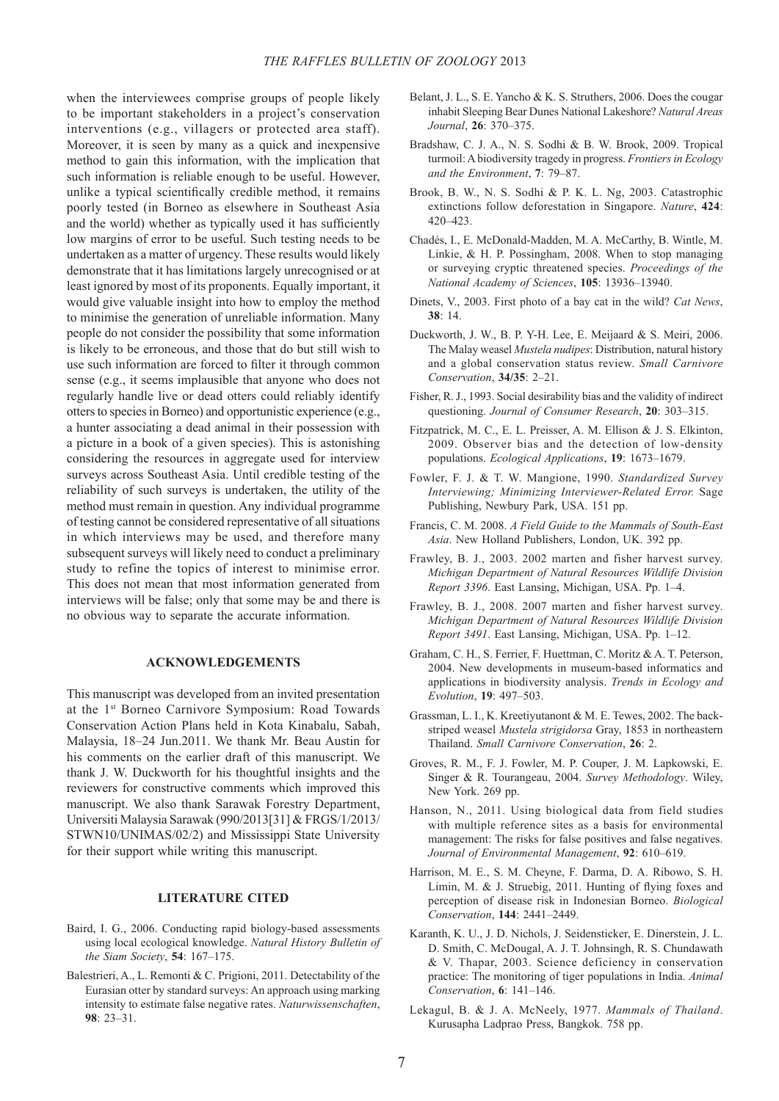when the interviewees comprise groups of people likely to be important stakeholders in a project's conservation interventions (e.g., villagers or protected area staff). Moreover, it is seen by many as a quick and inexpensive method to gain this information, with the implication that such information is reliable enough to be useful. However, unlike a typical scientifically credible method, it remains poorly tested (in Borneo as elsewhere in Southeast Asia and the world) whether as typically used it has sufficiently low margins of error to be useful. Such testing needs to be undertaken as a matter of urgency. These results would likely demonstrate that it has limitations largely unrecognised or at least ignored by most of its proponents. Equally important, it would give valuable insight into how to employ the method to minimise the generation of unreliable information. Many people do not consider the possibility that some information is likely to be erroneous, and those that do but still wish to use such information are forced to filter it through common sense (e.g., it seems implausible that anyone who does not regularly handle live or dead otters could reliably identify otters to species in Borneo) and opportunistic experience (e.g., a hunter associating a dead animal in their possession with a picture in a book of a given species). This is astonishing considering the resources in aggregate used for interview surveys across Southeast Asia. Until credible testing of the reliability of such surveys is undertaken, the utility of the method must remain in question. Any individual programme of testing cannot be considered representative of all situations in which interviews may be used, and therefore many subsequent surveys will likely need to conduct a preliminary study to refine the topics of interest to minimise error. This does not mean that most information generated from interviews will be false; only that some may be and there is no obvious way to separate the accurate information.

#### **ACKNOWLEDGEMENTS**

This manuscript was developed from an invited presentation at the 1st Borneo Carnivore Symposium: Road Towards Conservation Action Plans held in Kota Kinabalu, Sabah, Malaysia, 18–24 Jun.2011. We thank Mr. Beau Austin for his comments on the earlier draft of this manuscript. We thank J. W. Duckworth for his thoughtful insights and the reviewers for constructive comments which improved this manuscript. We also thank Sarawak Forestry Department, Universiti Malaysia Sarawak (990/2013[31] & FRGS/1/2013/ STWN10/UNIMAS/02/2) and Mississippi State University for their support while writing this manuscript.

#### **LITERATURE CITED**

- Baird, I. G., 2006. Conducting rapid biology-based assessments using local ecological knowledge. *Natural History Bulletin of the Siam Society*, **54**: 167–175.
- Balestrieri, A., L. Remonti & C. Prigioni, 2011. Detectability of the Eurasian otter by standard surveys: An approach using marking intensity to estimate false negative rates. *Naturwissenschaften*, **98**: 23–31.
- Belant, J. L., S. E. Yancho & K. S. Struthers, 2006. Does the cougar inhabit Sleeping Bear Dunes National Lakeshore? *Natural Areas Journal*, **26**: 370–375.
- Bradshaw, C. J. A., N. S. Sodhi & B. W. Brook, 2009. Tropical turmoil: A biodiversity tragedy in progress. *Frontiers in Ecology and the Environment*, **7**: 79–87.
- Brook, B. W., N. S. Sodhi & P. K. L. Ng, 2003. Catastrophic extinctions follow deforestation in Singapore. *Nature*, **424**: 420–423.
- Chadés, I., E. McDonald-Madden, M. A. McCarthy, B. Wintle, M. Linkie, & H. P. Possingham, 2008. When to stop managing or surveying cryptic threatened species. *Proceedings of the National Academy of Sciences*, **105**: 13936–13940.
- Dinets, V., 2003. First photo of a bay cat in the wild? *Cat News*, **38**: 14.
- Duckworth, J. W., B. P. Y-H. Lee, E. Meijaard & S. Meiri, 2006. The Malay weasel *Mustela nudipes*: Distribution, natural history and a global conservation status review. *Small Carnivore Conservation*, **34/35**: 2–21.
- Fisher, R. J., 1993. Social desirability bias and the validity of indirect questioning. *Journal of Consumer Research*, **20**: 303–315.
- Fitzpatrick, M. C., E. L. Preisser, A. M. Ellison & J. S. Elkinton, 2009. Observer bias and the detection of low-density populations. *Ecological Applications*, **19**: 1673–1679.
- Fowler, F. J. & T. W. Mangione, 1990. *Standardized Survey Interviewing; Minimizing Interviewer-Related Error.* Sage Publishing, Newbury Park, USA. 151 pp.
- Francis, C. M. 2008. *A Field Guide to the Mammals of South-East Asia*. New Holland Publishers, London, UK. 392 pp.
- Frawley, B. J., 2003. 2002 marten and fisher harvest survey. *Michigan Department of Natural Resources Wildlife Division Report 3396*. East Lansing, Michigan, USA. Pp. 1–4.
- Frawley, B. J., 2008. 2007 marten and fisher harvest survey. *Michigan Department of Natural Resources Wildlife Division Report 3491*. East Lansing, Michigan, USA. Pp. 1–12.
- Graham, C. H., S. Ferrier, F. Huettman, C. Moritz & A. T. Peterson, 2004. New developments in museum-based informatics and applications in biodiversity analysis. *Trends in Ecology and Evolution*, **19**: 497–503.
- Grassman, L. I., K. Kreetiyutanont & M. E. Tewes, 2002. The backstriped weasel *Mustela strigidorsa* Gray, 1853 in northeastern Thailand. *Small Carnivore Conservation*, **26**: 2.
- Groves, R. M., F. J. Fowler, M. P. Couper, J. M. Lapkowski, E. Singer & R. Tourangeau, 2004. *Survey Methodology*. Wiley, New York. 269 pp.
- Hanson, N., 2011. Using biological data from field studies with multiple reference sites as a basis for environmental management: The risks for false positives and false negatives. *Journal of Environmental Management*, **92**: 610–619.
- Harrison, M. E., S. M. Cheyne, F. Darma, D. A. Ribowo, S. H. Limin, M.  $&$  J. Struebig, 2011. Hunting of flying foxes and perception of disease risk in Indonesian Borneo. *Biological Conservation*, **144**: 2441–2449.
- Karanth, K. U., J. D. Nichols, J. Seidensticker, E. Dinerstein, J. L. D. Smith, C. McDougal, A. J. T. Johnsingh, R. S. Chundawath & V. Thapar, 2003. Science deficiency in conservation practice: The monitoring of tiger populations in India. *Animal Conservation*, **6**: 141–146.
- Lekagul, B. & J. A. McNeely, 1977. *Mammals of Thailand*. Kurusapha Ladprao Press, Bangkok. 758 pp.